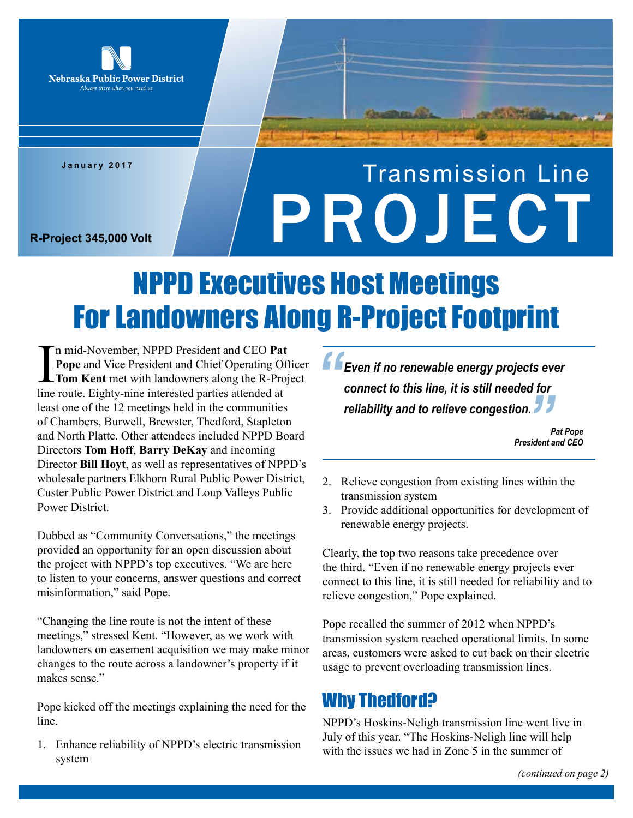

**January 2017**

# Transmission Line **R-Project 345,000 Volt**

# NPPD Executives Host Meetings For Landowners Along R-Project Footprint

I<sub>line</sub> n mid-November, NPPD President and CEO **Pat Pope** and Vice President and Chief Operating Officer **Tom Kent** met with landowners along the R-Project line route. Eighty-nine interested parties attended at least one of the 12 meetings held in the communities of Chambers, Burwell, Brewster, Thedford, Stapleton and North Platte. Other attendees included NPPD Board Directors **Tom Hoff**, **Barry DeKay** and incoming Director **Bill Hoyt**, as well as representatives of NPPD's wholesale partners Elkhorn Rural Public Power District, Custer Public Power District and Loup Valleys Public Power District.

Dubbed as "Community Conversations," the meetings provided an opportunity for an open discussion about the project with NPPD's top executives. "We are here to listen to your concerns, answer questions and correct misinformation," said Pope.

"Changing the line route is not the intent of these meetings," stressed Kent. "However, as we work with landowners on easement acquisition we may make minor changes to the route across a landowner's property if it makes sense."

Pope kicked off the meetings explaining the need for the line.

1. Enhance reliability of NPPD's electric transmission system

*Even if no renewable energy projects ever connect to this line, it is still needed for reliability and to relieve congestion. "* **99**<br>
sident d

*Pat Pope President and CEO*

- 2. Relieve congestion from existing lines within the transmission system
- 3. Provide additional opportunities for development of renewable energy projects.

Clearly, the top two reasons take precedence over the third. "Even if no renewable energy projects ever connect to this line, it is still needed for reliability and to relieve congestion," Pope explained.

Pope recalled the summer of 2012 when NPPD's transmission system reached operational limits. In some areas, customers were asked to cut back on their electric usage to prevent overloading transmission lines.

# Why Thedford?

NPPD's Hoskins-Neligh transmission line went live in July of this year. "The Hoskins-Neligh line will help with the issues we had in Zone 5 in the summer of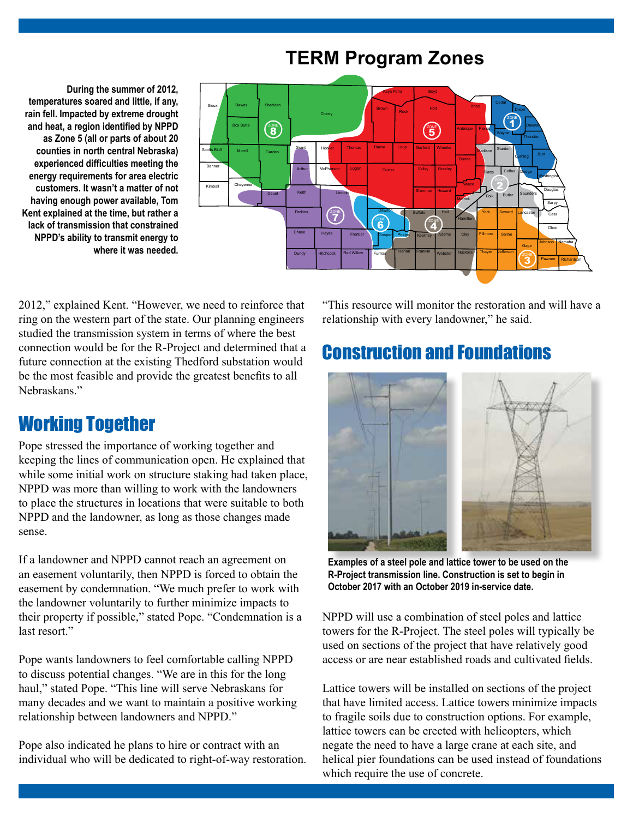# **TERM Program Zones**

**During the summer of 2012, temperatures soared and little, if any, rain fell. Impacted by extreme drought and heat, a region identified by NPPD as Zone 5 (all or parts of about 20 counties in north central Nebraska) experienced difficulties meeting the energy requirements for area electric customers. It wasn't a matter of not having enough power available, Tom Kent explained at the time, but rather a lack of transmission that constrained NPPD's ability to transmit energy to where it was needed.** 



2012," explained Kent. "However, we need to reinforce that ring on the western part of the state. Our planning engineers studied the transmission system in terms of where the best connection would be for the R-Project and determined that a future connection at the existing Thedford substation would be the most feasible and provide the greatest benefits to all Nebraskans."

## Working Together

Pope stressed the importance of working together and keeping the lines of communication open. He explained that while some initial work on structure staking had taken place, NPPD was more than willing to work with the landowners to place the structures in locations that were suitable to both NPPD and the landowner, as long as those changes made sense.

If a landowner and NPPD cannot reach an agreement on an easement voluntarily, then NPPD is forced to obtain the easement by condemnation. "We much prefer to work with the landowner voluntarily to further minimize impacts to their property if possible," stated Pope. "Condemnation is a last resort."

Pope wants landowners to feel comfortable calling NPPD to discuss potential changes. "We are in this for the long haul," stated Pope. "This line will serve Nebraskans for many decades and we want to maintain a positive working relationship between landowners and NPPD."

Pope also indicated he plans to hire or contract with an individual who will be dedicated to right-of-way restoration. "This resource will monitor the restoration and will have a relationship with every landowner," he said.

## Construction and Foundations



**Examples of a steel pole and lattice tower to be used on the R-Project transmission line. Construction is set to begin in October 2017 with an October 2019 in-service date.** 

NPPD will use a combination of steel poles and lattice towers for the R-Project. The steel poles will typically be used on sections of the project that have relatively good access or are near established roads and cultivated fields.

Lattice towers will be installed on sections of the project that have limited access. Lattice towers minimize impacts to fragile soils due to construction options. For example, lattice towers can be erected with helicopters, which negate the need to have a large crane at each site, and helical pier foundations can be used instead of foundations which require the use of concrete.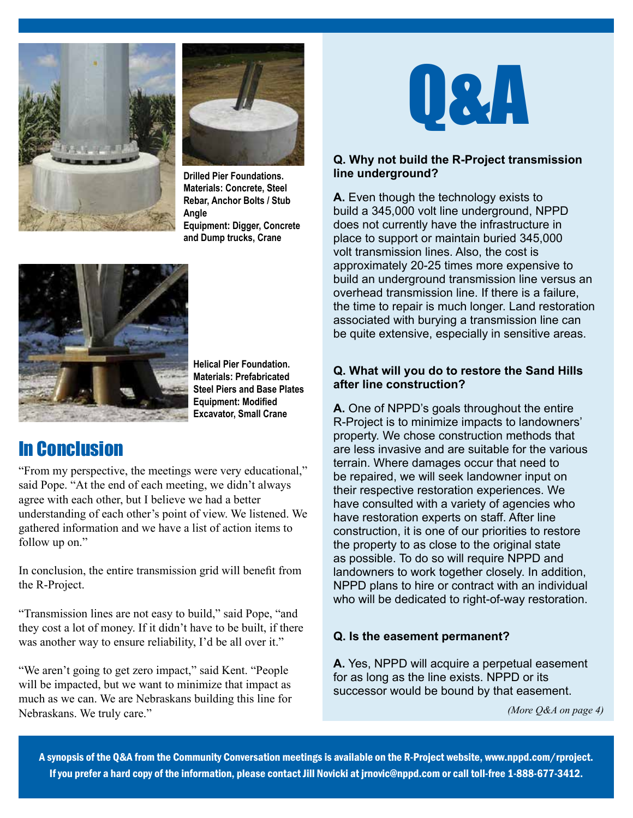



**Drilled Pier Foundations. Materials: Concrete, Steel Rebar, Anchor Bolts / Stub Angle Equipment: Digger, Concrete and Dump trucks, Crane**



**Helical Pier Foundation. Materials: Prefabricated Steel Piers and Base Plates Equipment: Modified Excavator, Small Crane**

# In Conclusion

"From my perspective, the meetings were very educational," said Pope. "At the end of each meeting, we didn't always agree with each other, but I believe we had a better understanding of each other's point of view. We listened. We gathered information and we have a list of action items to follow up on."

In conclusion, the entire transmission grid will benefit from the R-Project.

"Transmission lines are not easy to build," said Pope, "and they cost a lot of money. If it didn't have to be built, if there was another way to ensure reliability, I'd be all over it."

"We aren't going to get zero impact," said Kent. "People will be impacted, but we want to minimize that impact as much as we can. We are Nebraskans building this line for Nebraskans. We truly care."



#### **Q. Why not build the R-Project transmission line underground?**

**A.** Even though the technology exists to build a 345,000 volt line underground, NPPD does not currently have the infrastructure in place to support or maintain buried 345,000 volt transmission lines. Also, the cost is approximately 20-25 times more expensive to build an underground transmission line versus an overhead transmission line. If there is a failure, the time to repair is much longer. Land restoration associated with burying a transmission line can be quite extensive, especially in sensitive areas.

#### **Q. What will you do to restore the Sand Hills after line construction?**

**A.** One of NPPD's goals throughout the entire R-Project is to minimize impacts to landowners' property. We chose construction methods that are less invasive and are suitable for the various terrain. Where damages occur that need to be repaired, we will seek landowner input on their respective restoration experiences. We have consulted with a variety of agencies who have restoration experts on staff. After line construction, it is one of our priorities to restore the property to as close to the original state as possible. To do so will require NPPD and landowners to work together closely. In addition, NPPD plans to hire or contract with an individual who will be dedicated to right-of-way restoration.

#### **Q. Is the easement permanent?**

**A.** Yes, NPPD will acquire a perpetual easement for as long as the line exists. NPPD or its successor would be bound by that easement.

*(More Q&A on page 4)*

A synopsis of the Q&A from the Community Conversation meetings is available on the R-Project website, www.nppd.com/rproject. If you prefer a hard copy of the information, please contact Jill Novicki at jrnovic@nppd.com or call toll-free 1-888-677-3412.